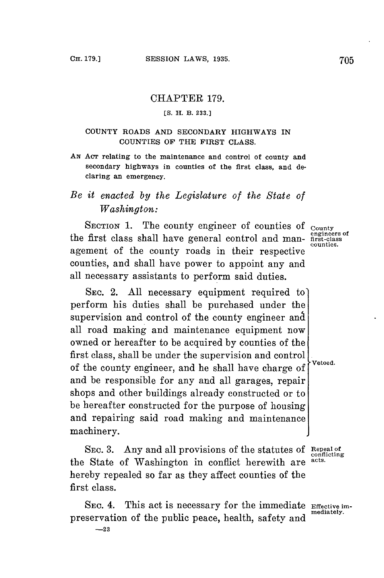## CHAPTER **179.**

### **ES. H. B. 233.]**

## **COUNTY ROADS AND SECONDARY HIGHWAYS IN COUNTIES OF THE FIRST CLASS.**

**AN ACT relating to the maintenance and control of county and secondary highways in counties of the first class, and declaring an emergency.**

# *Be it enacted by the Legislature of the State of Washington:*

SECTION 1. The county engineer of counties of **County engineers of** the first class shall have general control and man- **first-class** agement of the county roads in their respective counties, and shall have power to appoint any and all necessary assistants to perform said duties.

**SEC.** 2. **All** necessary equipment required to] perform his duties shall be purchased under the supervision and control of the county engineer and all road making and maintenance equipment now owned or hereafter to be acquired **by** counties of the first class, shall be under the supervision and control . of the county engineer, and he shall have charge **of** and be responsible for any and all garages, repair shops and other buildings already constructed or to be hereafter constructed for the purpose of housing and repairing said road making and maintenance machinery.

**SEC. 3.** Any and all provisions of the statutes of **Repeal of conflicting** the State of Washington in conffict herewith are **acts.** hereby repealed so far as they affect counties of the first class.

**SEC.** 4. This act is necessary for the immediate **Effective im**preservation of the public peace, health, safety and **-23**